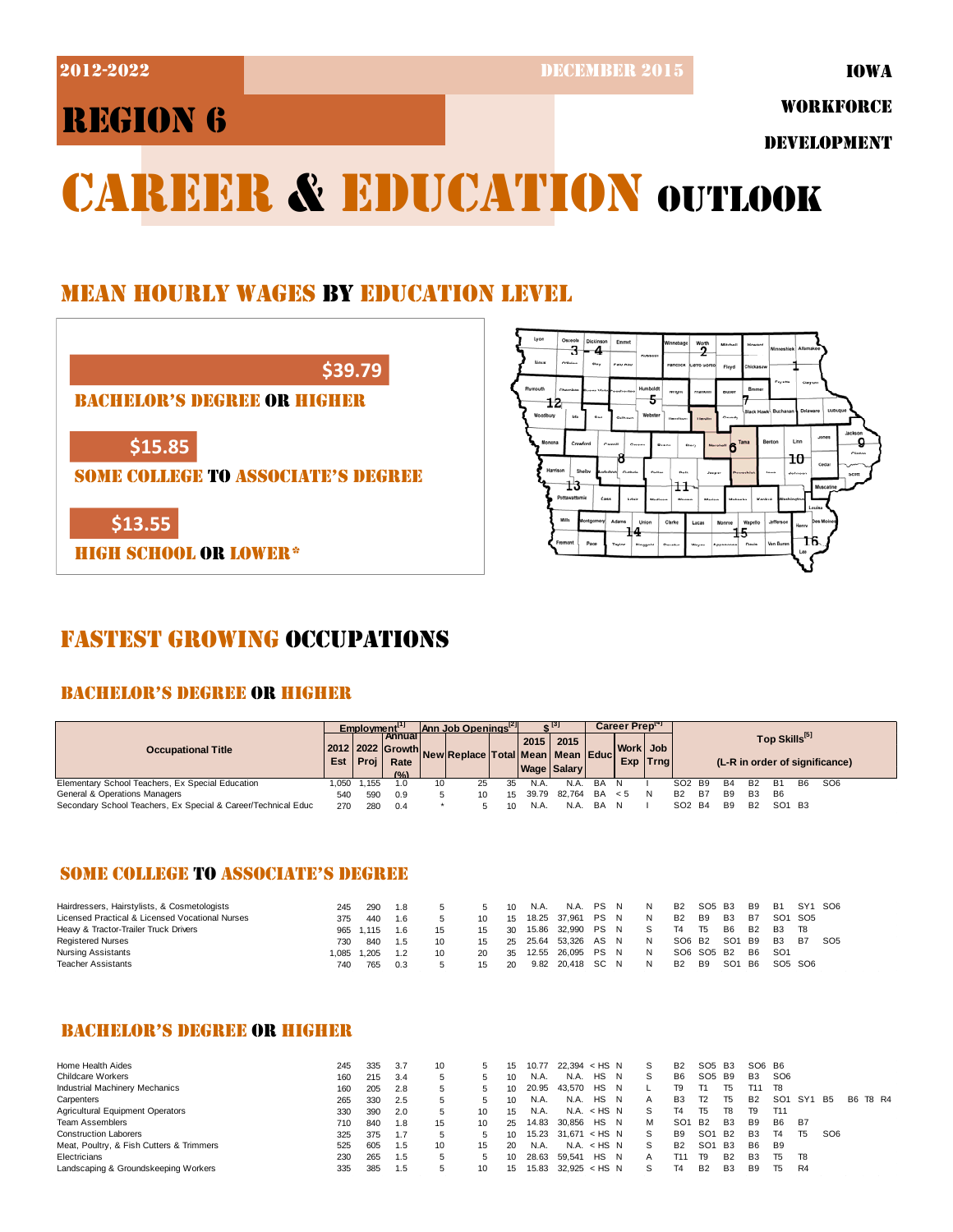2012-2022 DECEMBER 2015

IOWA

## REGION 6

WORKFORCE

DEVELOPMENT

# CAREER & EDUCATION OUTLOOK

### MEAN HOURLY WAGES BY EDUCATION LEVEL

**\$39.79**

BACHELOR'S DEGREE OR HIGHER

**\$15.85**

SOME COLLEGE TO ASSOCIATE'S DEGREE

**\$13.55**

HIGH SCHOOL OR LOWER\*



### FASTEST GROWING OCCUPATIONS

### BACHELOR'S DEGREE OR HIGHER

|                                                               |       | Employment <sup>11</sup> |                                            | Ann Job Openings <sup>[2]</sup> |                                                    |        | + [3] |                       | Career Preptri |                       |   |                                |                                                             |            |                |            |           |                 |
|---------------------------------------------------------------|-------|--------------------------|--------------------------------------------|---------------------------------|----------------------------------------------------|--------|-------|-----------------------|----------------|-----------------------|---|--------------------------------|-------------------------------------------------------------|------------|----------------|------------|-----------|-----------------|
| <b>Occupational Title</b>                                     |       | Est   Proj               | <b>I Annual I</b><br>Rate<br>$(0/\lambda)$ |                                 | 2012 2022 Growth New Replace Total Mean Mean Educi |        | 2015  | 2015<br>Wage   Salary |                | Work Job<br>Exp Trnal |   |                                | Top Skills <sup>[5]</sup><br>(L-R in order of significance) |            |                |            |           |                 |
| Elementary School Teachers, Ex Special Education              | 1.050 | 1,155                    | .0                                         | 10                              | 25                                                 | 35     | N.A.  | N.A.                  | BA             |                       |   | SO <sub>2</sub> B <sub>9</sub> |                                                             | <b>B4</b>  | <b>B2</b>      | <b>B</b> 1 | <b>B6</b> | SO <sub>6</sub> |
| General & Operations Managers                                 | 54C   | 590                      | 0.9                                        |                                 | 10                                                 | $15 -$ | 39.79 | 82.764                | BA             | < 5                   | N | <b>B2</b>                      | <b>B7</b>                                                   | <b>B</b> 9 | B <sub>3</sub> | B6         |           |                 |
| Secondary School Teachers, Ex Special & Career/Technical Educ | 270   | 280                      | 0.4                                        |                                 |                                                    | 10     | N.A.  | N.A.                  | BA             |                       |   | SO <sub>2</sub> B <sub>4</sub> |                                                             | <b>B</b> 9 | <b>B2</b>      | SO1 B3     |           |                 |

### SOME COLLEGE TO ASSOCIATE'S DEGREE

| Hairdressers, Hairstylists, & Cosmetologists    | 245  | 290   | 1.8 |    |    | 10 | N.A.  | N.A. PS N         |  | N. | B <sub>2</sub> | SO <sub>5</sub> B <sub>3</sub> |                 | B <sub>9</sub> | <b>B1</b>                       | SY1 SO6                         |                 |
|-------------------------------------------------|------|-------|-----|----|----|----|-------|-------------------|--|----|----------------|--------------------------------|-----------------|----------------|---------------------------------|---------------------------------|-----------------|
| Licensed Practical & Licensed Vocational Nurses | 375  | 440   | 1.6 |    |    | 15 |       | 18.25 37.961 PS N |  | N  | B <sub>2</sub> | B <sub>9</sub>                 | B <sub>3</sub>  | B7             |                                 | SO <sub>1</sub> S <sub>O5</sub> |                 |
| Heavy & Tractor-Trailer Truck Drivers           | 965  | 1.115 | 1.6 |    | 15 | 30 | 15.86 | 32.990 PS N       |  |    | Τ4             | T5                             | <b>B6</b>       | <b>B2</b>      | <b>B3</b>                       | T8                              |                 |
| <b>Registered Nurses</b>                        | 730  | 840   | 1.5 |    | 15 | 25 |       | 25.64 53,326 AS N |  | N  | SO6 B2         |                                | SO1 B9          |                | B3                              | <b>B7</b>                       | SO <sub>5</sub> |
| Nursing Assistants                              | .085 | 1.205 | 1.2 | 10 | 20 | 35 | 12.55 | 26.095 PS N       |  | N  |                | SO6 SO5 B2                     |                 | B <sub>6</sub> | SO <sub>1</sub>                 |                                 |                 |
| Teacher Assistants                              | 740  | 765   | 0.3 |    | 15 | 20 |       | 9.82 20.418 SC N  |  | N  | <b>B2</b>      | <b>B9</b>                      | SO <sub>1</sub> | B6             | SO <sub>5</sub> SO <sub>6</sub> |                                 |                 |

#### BACHELOR'S DEGREE OR HIGHER

| Home Health Aides                        | 245 | 335 | 3.7 | 10 |    | 15 | 10.77 | $22.394 < H$ S N |             |    | S  | B <sub>2</sub>  | SO <sub>5</sub> | B <sub>3</sub> | SO6 B6         |                 |                |                 |     |       |
|------------------------------------------|-----|-----|-----|----|----|----|-------|------------------|-------------|----|----|-----------------|-----------------|----------------|----------------|-----------------|----------------|-----------------|-----|-------|
| <b>Childcare Workers</b>                 | 160 | 215 | 3.4 | ь  |    | 10 | N.A.  | N.A.             | HS          | N  | `S | B <sub>6</sub>  | SO <sub>5</sub> | B9             | B <sub>3</sub> | SO <sub>6</sub> |                |                 |     |       |
| <b>Industrial Machinery Mechanics</b>    | 160 | 205 | 2.8 |    |    | 10 | 20.95 | 43.570           | HS          | N  |    | Т9.             |                 | T5             | T11            | T8              |                |                 |     |       |
| Carpenters                               | 265 | 330 | 2.5 |    |    | 10 | N.A.  | N.A.             | HS          | N  |    | B <sub>3</sub>  | T <sub>2</sub>  | T <sub>5</sub> | <b>B2</b>      | SO <sub>1</sub> | SY1            | <b>B5</b>       | B6. | T8 R4 |
| Agricultural Equipment Operators         | 330 | 390 | 2.0 |    | 10 | 15 | N.A.  |                  | N.A. < HS N |    | S  | T4              | T5              | T8             | Τ9             | T11             |                |                 |     |       |
| <b>Team Assemblers</b>                   | 710 | 840 | 1.8 | 15 | 10 | 25 | 14.83 | 30.856           | HS.         | -N | м  | SO <sub>1</sub> | <b>B2</b>       | <b>B3</b>      | <b>B</b> 9     | B <sub>6</sub>  | B7             |                 |     |       |
| <b>Construction Laborers</b>             | 325 | 375 | 1.7 |    |    | 10 | 15.23 | 31.671           | ≺ HSN       |    | S  | B <sub>9</sub>  | SO <sub>1</sub> | <b>B2</b>      | B <sub>3</sub> | Τ4              | T <sub>5</sub> | SO <sub>6</sub> |     |       |
| Meat, Poultry, & Fish Cutters & Trimmers | 525 | 605 | 1.5 | 10 | 15 | 20 | N.A.  |                  | N.A. < HS N |    | S  | <b>B2</b>       | SO <sub>1</sub> | <b>B3</b>      | B <sub>6</sub> | B <sub>9</sub>  |                |                 |     |       |
| Electricians                             | 230 | 265 | 1.5 |    |    | 10 | 28.63 | 59.541           | HS          | N  | A  | T11             | T9              | <b>B2</b>      | B <sub>3</sub> | T5              | T8             |                 |     |       |
| Landscaping & Groundskeeping Workers     | 335 | 385 | 1.5 |    | 10 | 15 | 15.83 | $32.925 <$ HS N  |             |    | s  |                 | B <sub>2</sub>  | B <sub>3</sub> | B9             | Т5              | R <sub>4</sub> |                 |     |       |